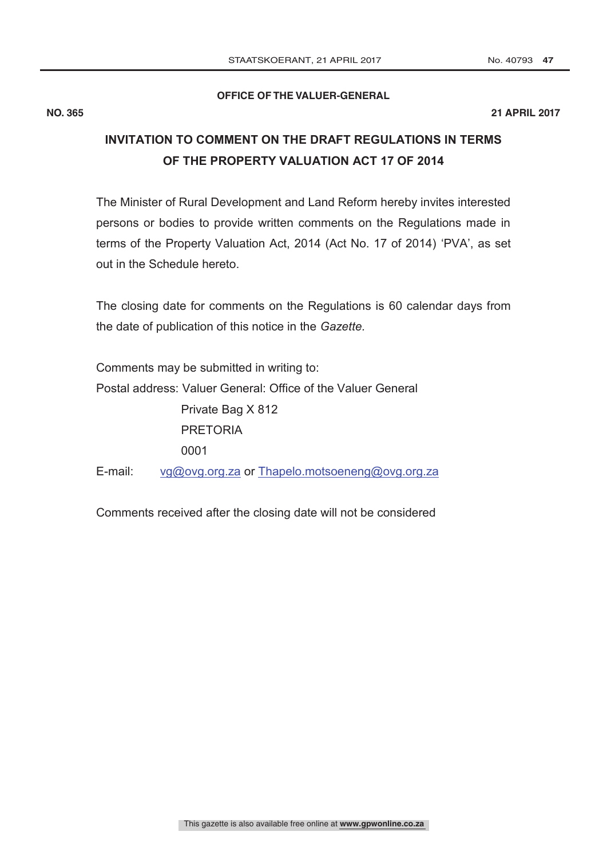#### **OFFICE OF THE VALUER-GENERAL**

# **INVITATION TO COMMENT ON THE DRAFT REGULATIONS IN TERMS OF THE PROPERTY VALUATION ACT 17 OF 2014**

The Minister of Rural Development and Land Reform hereby invites interested persons or bodies to provide written comments on the Regulations made in terms of the Property Valuation Act, 2014 (Act No. 17 of 2014) "PVA", as set out in the Schedule hereto.

The closing date for comments on the Regulations is 60 calendar days from the date of publication of this notice in the *Gazette.*

Comments may be submitted in writing to: Postal address: Valuer General: Office of the Valuer General Private Bag X 812 PRETORIA 0001 E-mail: vg@ovg.org.za or Thapelo.motsoeneng@ovg.org.za

Comments received after the closing date will not be considered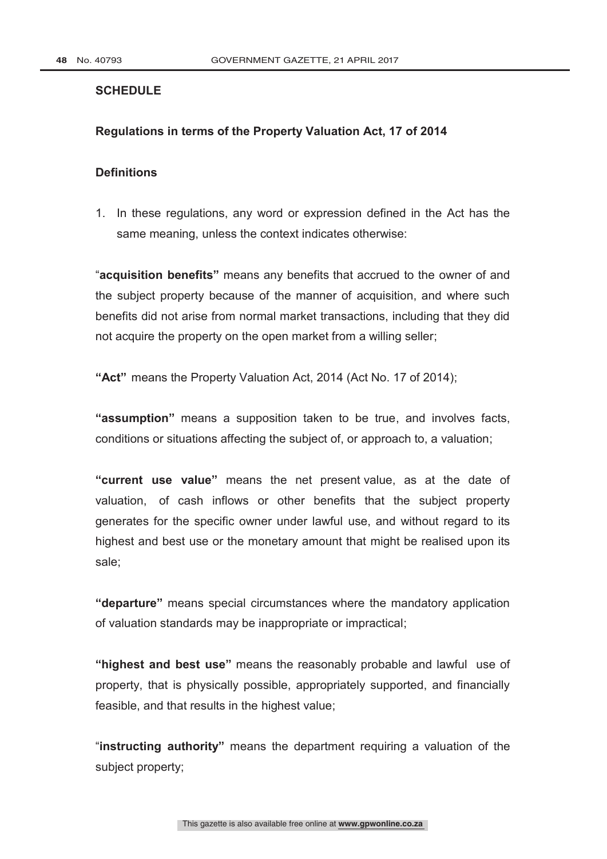### **SCHEDULE**

#### **Regulations in terms of the Property Valuation Act, 17 of 2014**

### **Definitions**

1. In these regulations, any word or expression defined in the Act has the same meaning, unless the context indicates otherwise:

"**acquisition benefits"** means any benefits that accrued to the owner of and the subject property because of the manner of acquisition, and where such benefits did not arise from normal market transactions, including that they did not acquire the property on the open market from a willing seller;

**"Act"** means the Property Valuation Act, 2014 (Act No. 17 of 2014);

**"assumption"** means a supposition taken to be true, and involves facts, conditions or situations affecting the subject of, or approach to, a valuation;

**"current use value"** means the net present value, as at the date of valuation, of cash inflows or other benefits that the subject property generates for the specific owner under lawful use, and without regard to its highest and best use or the monetary amount that might be realised upon its sale;

**"departure"** means special circumstances where the mandatory application of valuation standards may be inappropriate or impractical;

**"highest and best use"** means the reasonably probable and lawful use of property, that is physically possible, appropriately supported, and financially feasible, and that results in the highest value;

"**instructing authority"** means the department requiring a valuation of the subject property;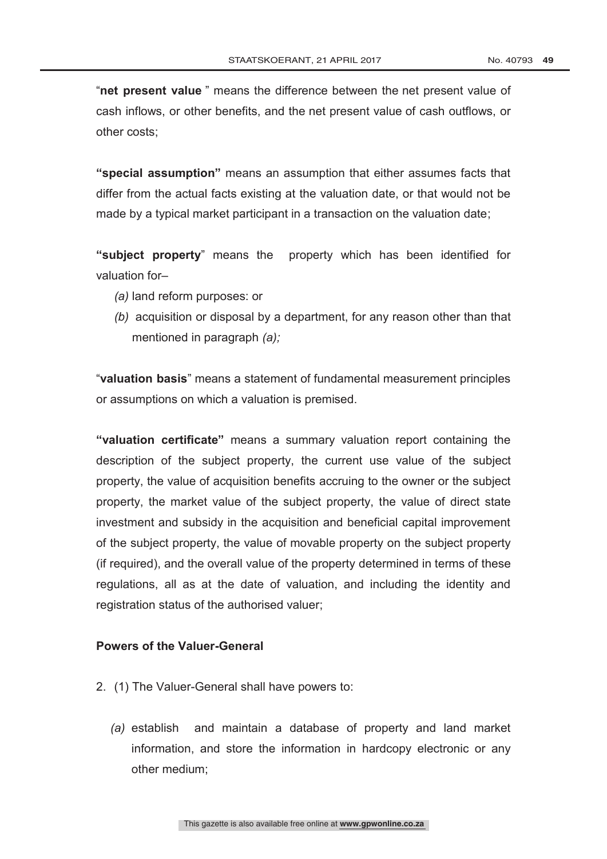"**net present value** " means the difference between the net present value of cash inflows, or other benefits, and the net present value of cash outflows, or other costs;

**"special assumption"** means an assumption that either assumes facts that differ from the actual facts existing at the valuation date, or that would not be made by a typical market participant in a transaction on the valuation date;

**"subject property**" means the property which has been identified for valuation for–

- *(a)* land reform purposes: or
- *(b)* acquisition or disposal by a department, for any reason other than that mentioned in paragraph *(a);*

"**valuation basis**" means a statement of fundamental measurement principles or assumptions on which a valuation is premised.

**"valuation certificate"** means a summary valuation report containing the description of the subject property, the current use value of the subject property, the value of acquisition benefits accruing to the owner or the subject property, the market value of the subject property, the value of direct state investment and subsidy in the acquisition and beneficial capital improvement of the subject property, the value of movable property on the subject property (if required), and the overall value of the property determined in terms of these regulations, all as at the date of valuation, and including the identity and registration status of the authorised valuer;

#### **Powers of the Valuer-General**

- 2. (1) The Valuer-General shall have powers to:
	- *(a)* establish and maintain a database of property and land market information, and store the information in hardcopy electronic or any other medium;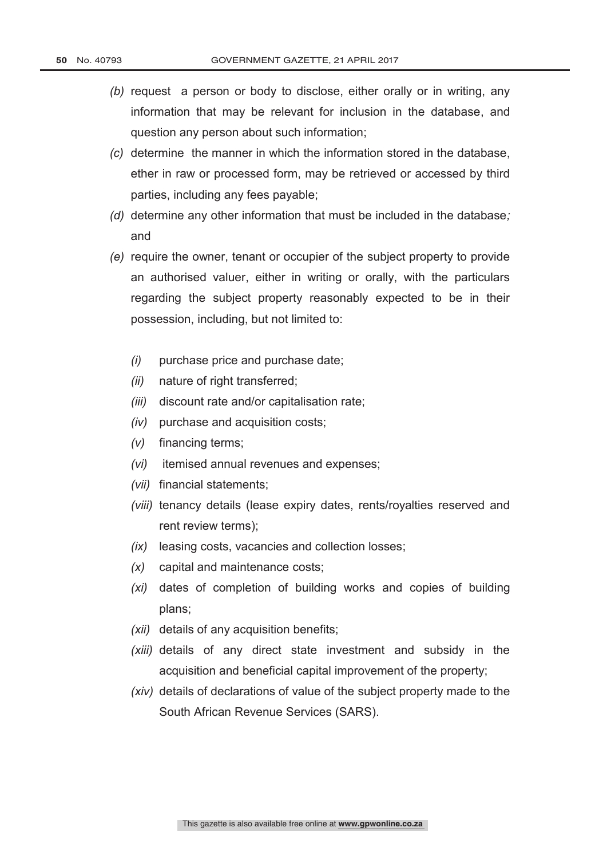- *(b)* request a person or body to disclose, either orally or in writing, any information that may be relevant for inclusion in the database, and question any person about such information;
- *(c)* determine the manner in which the information stored in the database, ether in raw or processed form, may be retrieved or accessed by third parties, including any fees payable;
- *(d)* determine any other information that must be included in the database*;*  and
- *(e)* require the owner, tenant or occupier of the subject property to provide an authorised valuer, either in writing or orally, with the particulars regarding the subject property reasonably expected to be in their possession, including, but not limited to:
	- *(i)* purchase price and purchase date;
	- *(ii)* nature of right transferred;
	- *(iii)* discount rate and/or capitalisation rate;
	- *(iv)* purchase and acquisition costs;
	- *(v)* financing terms;
	- *(vi)* itemised annual revenues and expenses;
	- *(vii)* financial statements;
	- *(viii)* tenancy details (lease expiry dates, rents/royalties reserved and rent review terms);
	- *(ix)* leasing costs, vacancies and collection losses;
	- *(x)* capital and maintenance costs;
	- *(xi)* dates of completion of building works and copies of building plans;
	- *(xii)* details of any acquisition benefits;
	- *(xiii)* details of any direct state investment and subsidy in the acquisition and beneficial capital improvement of the property;
	- *(xiv)* details of declarations of value of the subject property made to the South African Revenue Services (SARS).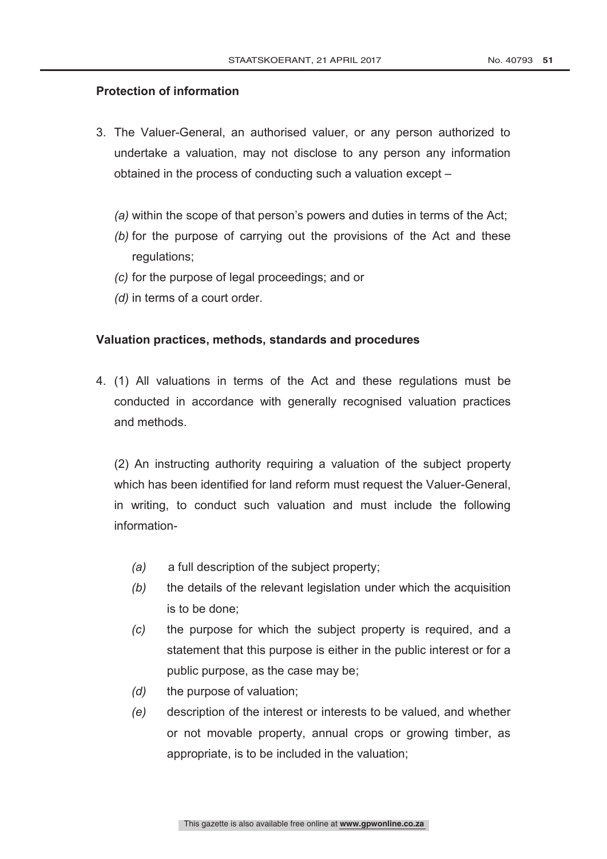### **Protection of information**

- 3. The Valuer-General, an authorised valuer, or any person authorized to undertake a valuation, may not disclose to any person any information obtained in the process of conducting such a valuation except –
	- *(a)* within the scope of that person's powers and duties in terms of the Act;
	- *(b)* for the purpose of carrying out the provisions of the Act and these regulations;
	- *(c)* for the purpose of legal proceedings; and or
	- *(d)* in terms of a court order.

#### **Valuation practices, methods, standards and procedures**

4. (1) All valuations in terms of the Act and these regulations must be conducted in accordance with generally recognised valuation practices and methods.

(2) An instructing authority requiring a valuation of the subject property which has been identified for land reform must request the Valuer-General, in writing, to conduct such valuation and must include the following information-

- *(a)* a full description of the subject property;
- *(b)* the details of the relevant legislation under which the acquisition is to be done;
- *(c)* the purpose for which the subject property is required, and a statement that this purpose is either in the public interest or for a public purpose, as the case may be;
- *(d)* the purpose of valuation;
- *(e)* description of the interest or interests to be valued, and whether or not movable property, annual crops or growing timber, as appropriate, is to be included in the valuation;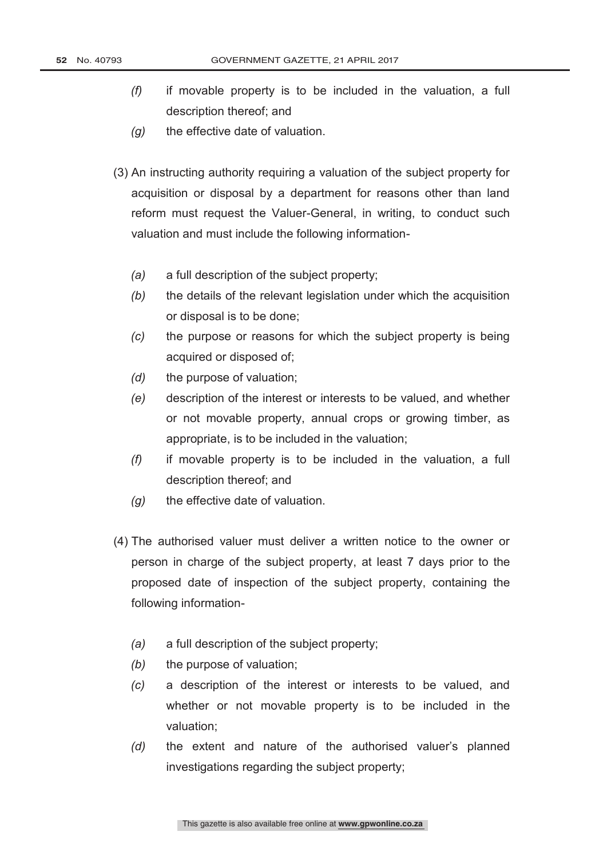- *(f)* if movable property is to be included in the valuation, a full description thereof; and
- *(g)* the effective date of valuation.
- (3) An instructing authority requiring a valuation of the subject property for acquisition or disposal by a department for reasons other than land reform must request the Valuer-General, in writing, to conduct such valuation and must include the following information-
	- *(a)* a full description of the subject property;
	- *(b)* the details of the relevant legislation under which the acquisition or disposal is to be done;
	- *(c)* the purpose or reasons for which the subject property is being acquired or disposed of;
	- *(d)* the purpose of valuation;
	- *(e)* description of the interest or interests to be valued, and whether or not movable property, annual crops or growing timber, as appropriate, is to be included in the valuation;
	- *(f)* if movable property is to be included in the valuation, a full description thereof; and
	- *(g)* the effective date of valuation.
- (4) The authorised valuer must deliver a written notice to the owner or person in charge of the subject property, at least 7 days prior to the proposed date of inspection of the subject property, containing the following information-
	- *(a)* a full description of the subject property;
	- *(b)* the purpose of valuation;
	- *(c)* a description of the interest or interests to be valued, and whether or not movable property is to be included in the valuation;
	- *(d)* the extent and nature of the authorised valuer"s planned investigations regarding the subject property;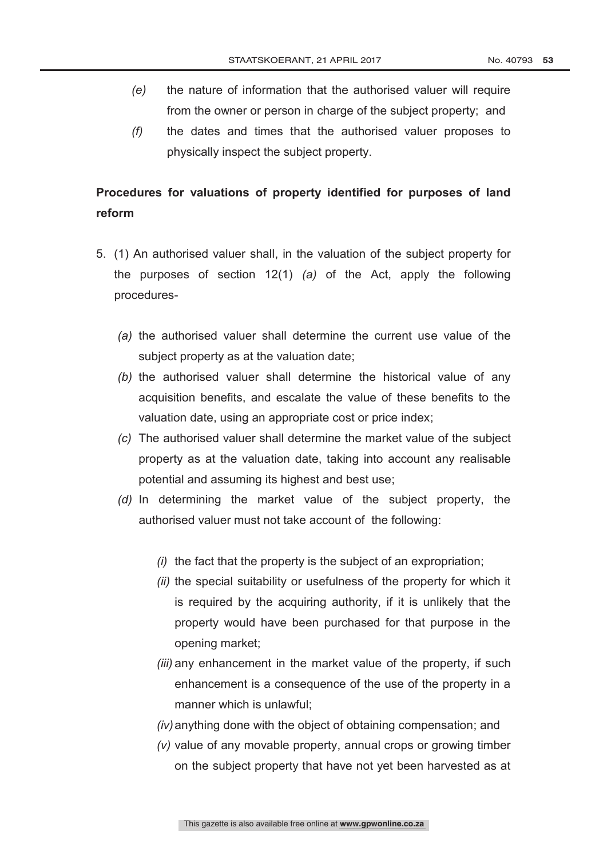- *(e)* the nature of information that the authorised valuer will require from the owner or person in charge of the subject property; and
- *(f)* the dates and times that the authorised valuer proposes to physically inspect the subject property.

## **Procedures for valuations of property identified for purposes of land reform**

- 5. (1) An authorised valuer shall, in the valuation of the subject property for the purposes of section 12(1) *(a)* of the Act, apply the following procedures-
	- *(a)* the authorised valuer shall determine the current use value of the subject property as at the valuation date;
	- *(b)* the authorised valuer shall determine the historical value of any acquisition benefits, and escalate the value of these benefits to the valuation date, using an appropriate cost or price index;
	- *(c)* The authorised valuer shall determine the market value of the subject property as at the valuation date, taking into account any realisable potential and assuming its highest and best use;
	- *(d)* In determining the market value of the subject property, the authorised valuer must not take account of the following:
		- *(i)* the fact that the property is the subject of an expropriation;
		- *(ii)* the special suitability or usefulness of the property for which it is required by the acquiring authority, if it is unlikely that the property would have been purchased for that purpose in the opening market;
		- *(iii)* any enhancement in the market value of the property, if such enhancement is a consequence of the use of the property in a manner which is unlawful;
		- *(iv)*anything done with the object of obtaining compensation; and
		- *(v)* value of any movable property, annual crops or growing timber on the subject property that have not yet been harvested as at

This gazette is also available free online at **www.gpwonline.co.za**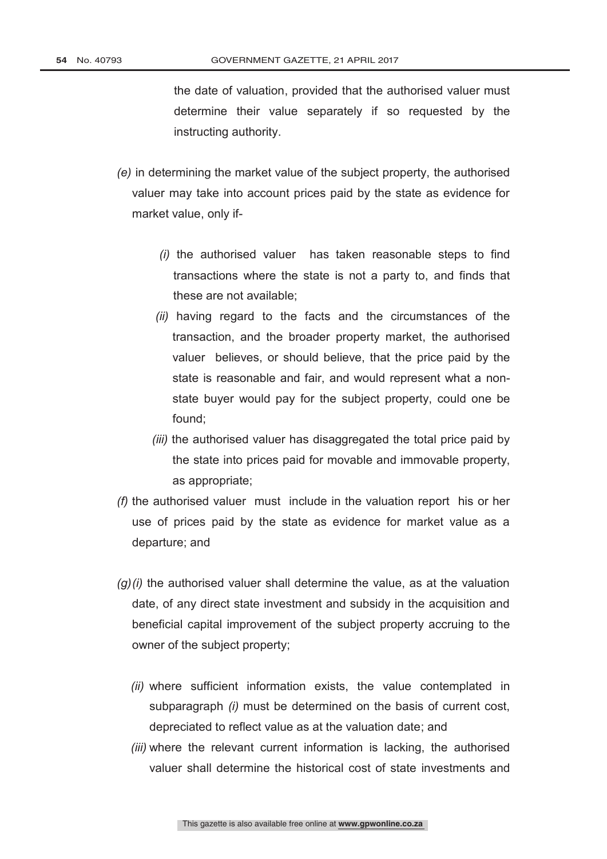the date of valuation, provided that the authorised valuer must determine their value separately if so requested by the instructing authority.

- *(e)* in determining the market value of the subject property, the authorised valuer may take into account prices paid by the state as evidence for market value, only if-
	- *(i)* the authorised valuer has taken reasonable steps to find transactions where the state is not a party to, and finds that these are not available;
	- *(ii)* having regard to the facts and the circumstances of the transaction, and the broader property market, the authorised valuer believes, or should believe, that the price paid by the state is reasonable and fair, and would represent what a nonstate buyer would pay for the subject property, could one be found;
	- *(iii)* the authorised valuer has disaggregated the total price paid by the state into prices paid for movable and immovable property, as appropriate;
- *(f)* the authorised valuer must include in the valuation report his or her use of prices paid by the state as evidence for market value as a departure; and
- *(g)(i)* the authorised valuer shall determine the value, as at the valuation date, of any direct state investment and subsidy in the acquisition and beneficial capital improvement of the subject property accruing to the owner of the subject property;
	- *(ii)* where sufficient information exists, the value contemplated in subparagraph *(i)* must be determined on the basis of current cost, depreciated to reflect value as at the valuation date; and
	- *(iii)* where the relevant current information is lacking, the authorised valuer shall determine the historical cost of state investments and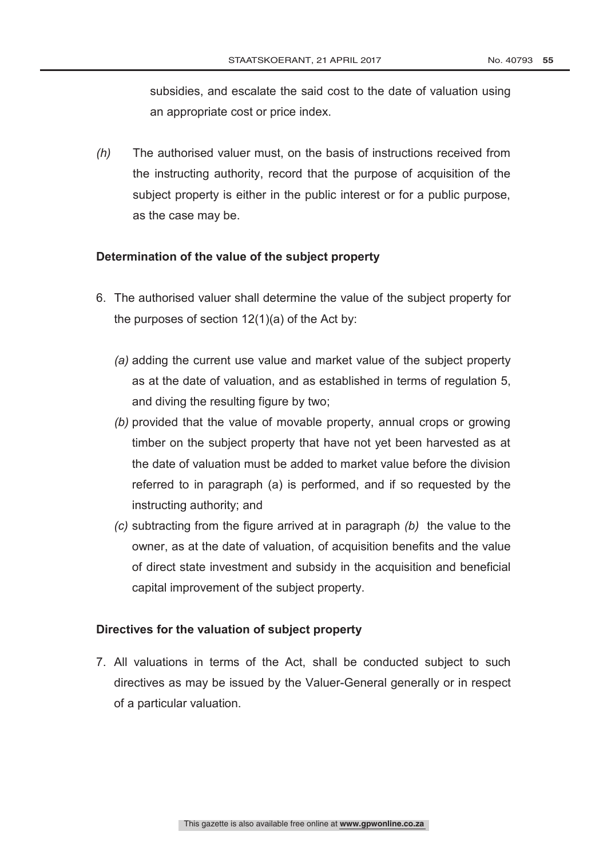subsidies, and escalate the said cost to the date of valuation using an appropriate cost or price index.

*(h)* The authorised valuer must, on the basis of instructions received from the instructing authority, record that the purpose of acquisition of the subject property is either in the public interest or for a public purpose, as the case may be.

#### **Determination of the value of the subject property**

- 6. The authorised valuer shall determine the value of the subject property for the purposes of section 12(1)(a) of the Act by:
	- *(a)* adding the current use value and market value of the subject property as at the date of valuation, and as established in terms of regulation 5, and diving the resulting figure by two;
	- *(b)* provided that the value of movable property, annual crops or growing timber on the subject property that have not yet been harvested as at the date of valuation must be added to market value before the division referred to in paragraph (a) is performed, and if so requested by the instructing authority; and
	- *(c)* subtracting from the figure arrived at in paragraph *(b)* the value to the owner, as at the date of valuation, of acquisition benefits and the value of direct state investment and subsidy in the acquisition and beneficial capital improvement of the subject property.

#### **Directives for the valuation of subject property**

7. All valuations in terms of the Act, shall be conducted subject to such directives as may be issued by the Valuer-General generally or in respect of a particular valuation.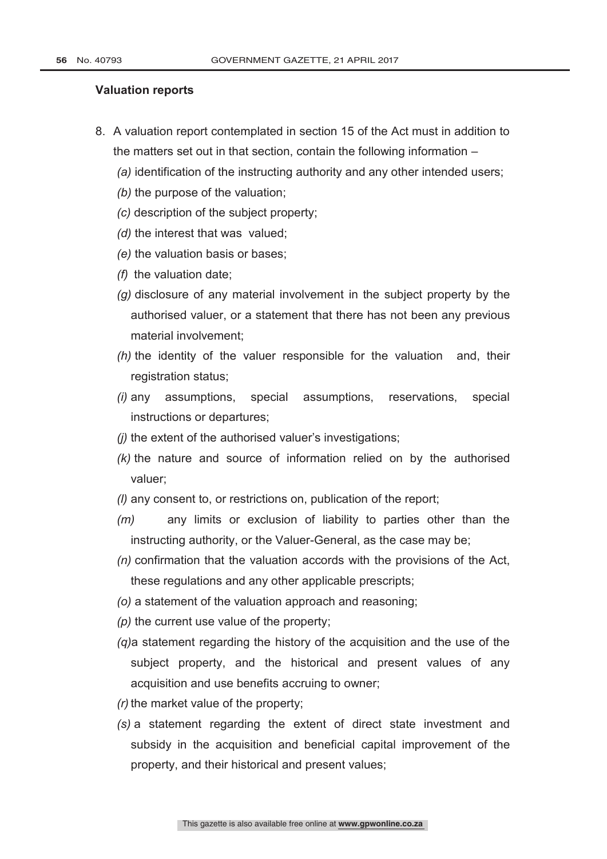#### **Valuation reports**

- 8. A valuation report contemplated in section 15 of the Act must in addition to the matters set out in that section, contain the following information –
	- *(a)* identification of the instructing authority and any other intended users;
	- *(b)* the purpose of the valuation;
	- *(c)* description of the subject property;
	- *(d)* the interest that was valued;
	- *(e)* the valuation basis or bases;
	- *(f)* the valuation date;
	- *(g)* disclosure of any material involvement in the subject property by the authorised valuer, or a statement that there has not been any previous material involvement;
	- *(h)* the identity of the valuer responsible for the valuation and, their registration status;
	- *(i)* any assumptions, special assumptions, reservations, special instructions or departures;
	- *(j)* the extent of the authorised valuer"s investigations;
	- *(k)* the nature and source of information relied on by the authorised valuer;
	- *(l)* any consent to, or restrictions on, publication of the report;
	- *(m)* any limits or exclusion of liability to parties other than the instructing authority, or the Valuer-General, as the case may be;
	- *(n)* confirmation that the valuation accords with the provisions of the Act, these regulations and any other applicable prescripts;
	- *(o)* a statement of the valuation approach and reasoning;
	- *(p)* the current use value of the property;
	- *(q)*a statement regarding the history of the acquisition and the use of the subject property, and the historical and present values of any acquisition and use benefits accruing to owner;
	- *(r)* the market value of the property;
	- *(s)* a statement regarding the extent of direct state investment and subsidy in the acquisition and beneficial capital improvement of the property, and their historical and present values;